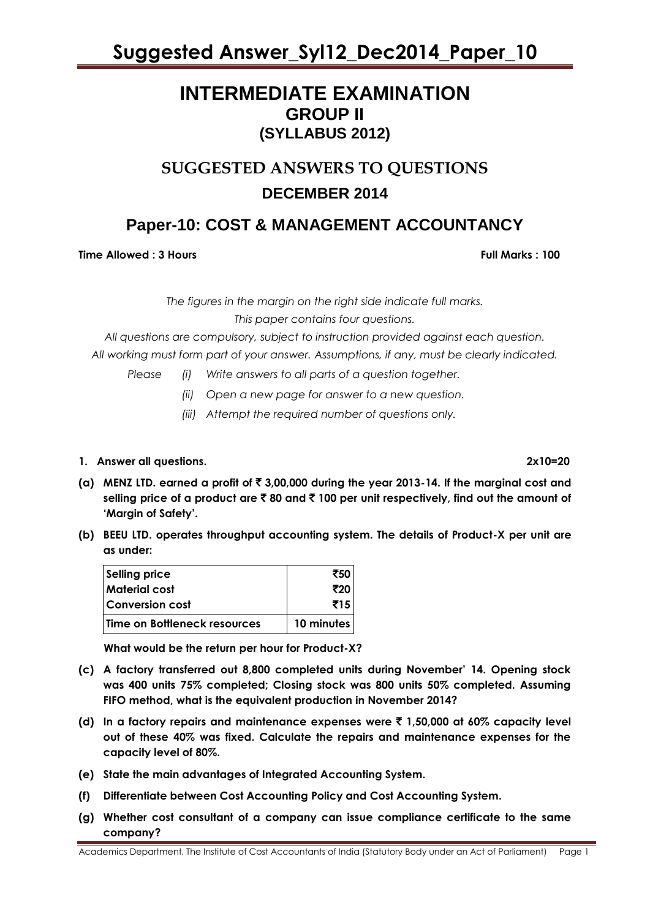### **INTERMEDIATE EXAMINATION GROUP II (SYLLABUS 2012)**

### **SUGGESTED ANSWERS TO QUESTIONS DECEMBER 2014**

### **Paper-10: COST & MANAGEMENT ACCOUNTANCY**

**Time Allowed : 3 Hours Full Marks : 100** 

*The figures in the margin on the right side indicate full marks.*

*This paper contains four questions.*

*All questions are compulsory, subject to instruction provided against each question. All working must form part of your answer. Assumptions, if any, must be clearly indicated.*

*Please (i) Write answers to all parts of a question together.*

- *(ii) Open a new page for answer to a new question.*
- *(iii) Attempt the required number of questions only.*
- **1. Answer all questions. 2x10=20**
- **(a) MENZ LTD. earned a profit of** ` **3,00,000 during the year 2013-14. If the marginal cost and selling price of a product are** ` **80 and** ` **100 per unit respectively, find out the amount of 'Margin of Safety'.**
- **(b) BEEU LTD. operates throughput accounting system. The details of Product-X per unit are as under:**

| <b>Selling price</b>         | ₹50        |
|------------------------------|------------|
| Material cost                | ₹20        |
| <b>Conversion cost</b>       | ₹15        |
| Time on Bottleneck resources | 10 minutes |

**What would be the return per hour for Product-X?**

- **(c) A factory transferred out 8,800 completed units during November' 14. Opening stock was 400 units 75% completed; Closing stock was 800 units 50% completed. Assuming FIFO method, what is the equivalent production in November 2014?**
- **(d) In a factory repairs and maintenance expenses were** ` **1,50,000 at 60% capacity level out of these 40% was fixed. Calculate the repairs and maintenance expenses for the capacity level of 80%.**
- **(e) State the main advantages of Integrated Accounting System.**
- **(f) Differentiate between Cost Accounting Policy and Cost Accounting System.**
- **(g) Whether cost consultant of a company can issue compliance certificate to the same company?**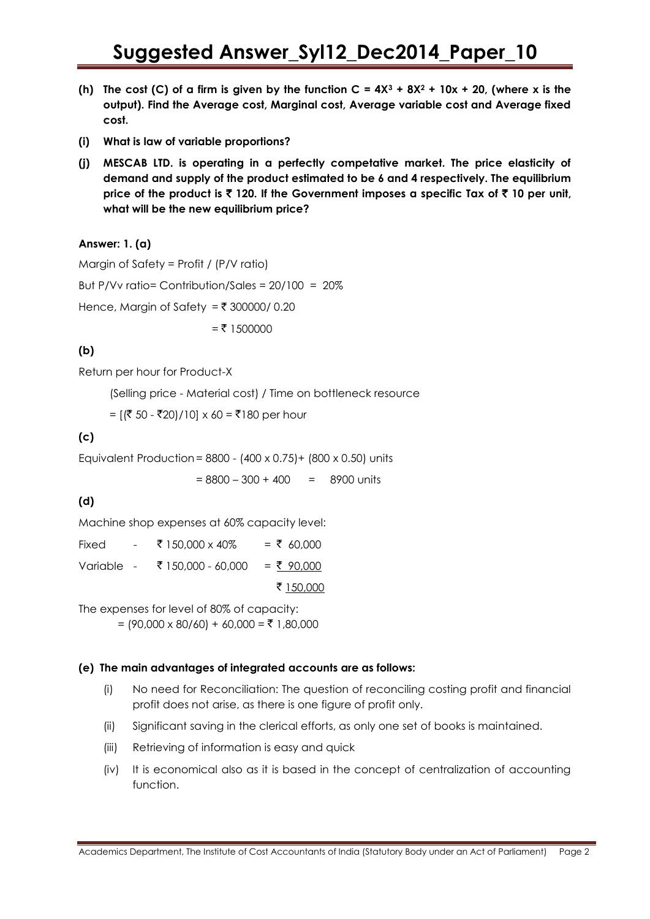- **(h) The cost (C) of a firm is given by the function C = 4X<sup>3</sup> + 8X<sup>2</sup> + 10x + 20, (where x is the output). Find the Average cost, Marginal cost, Average variable cost and Average fixed cost.**
- **(i) What is law of variable proportions?**
- **(j) MESCAB LTD. is operating in a perfectly competative market. The price elasticity of demand and supply of the product estimated to be 6 and 4 respectively. The equilibrium price of the product is** ` **120. If the Government imposes a specific Tax of** ` **10 per unit, what will be the new equilibrium price?**

#### **Answer: 1. (a)**

Margin of Safety = Profit / (P/V ratio) But P/Vv ratio= Contribution/Sales = 20/100 = 20% Hence, Margin of Safety =  $\bar{\tau}$  300000/ 0.20  $=$  ₹ 1500000

### **(b)**

Return per hour for Product-X

(Selling price - Material cost) / Time on bottleneck resource

=  $[(\overline{5} 50 - \overline{5}20)/10] \times 60 = \overline{5}180$  per hour

### **(c)**

Equivalent Production= 8800 - (400 x 0.75)+ (800 x 0.50) units

 $= 8800 - 300 + 400 = 8900$  units

### **(d)**

Machine shop expenses at 60% capacity level:

| Fixed      | $\sim 100$ | ₹ 150,000 x 40%    | $=$ ₹ 60,000 |
|------------|------------|--------------------|--------------|
| Variable - |            | ₹ 150,000 - 60,000 | $=$ ₹ 90,000 |
|            |            |                    | ₹ 150,000    |

The expenses for level of 80% of capacity:

 $= (90,000 \times 80/60) + 60,000 = ₹ 1,80,000$ 

#### **(e) The main advantages of integrated accounts are as follows:**

- (i) No need for Reconciliation: The question of reconciling costing profit and financial profit does not arise, as there is one figure of profit only.
- (ii) Significant saving in the clerical efforts, as only one set of books is maintained.
- (iii) Retrieving of information is easy and quick
- (iv) It is economical also as it is based in the concept of centralization of accounting function.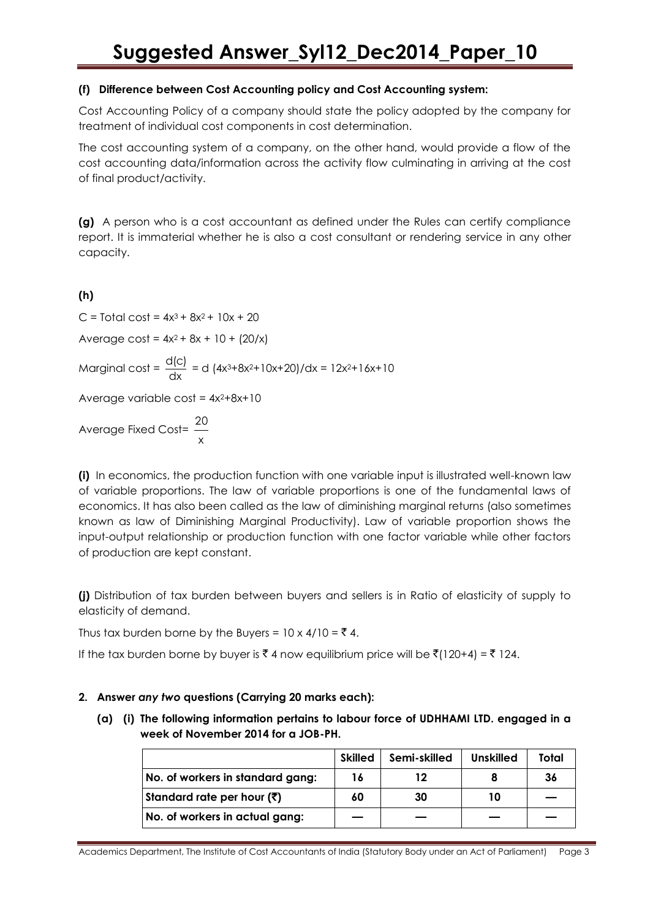### **(f) Difference between Cost Accounting policy and Cost Accounting system:**

Cost Accounting Policy of a company should state the policy adopted by the company for treatment of individual cost components in cost determination.

The cost accounting system of a company, on the other hand, would provide a flow of the cost accounting data/information across the activity flow culminating in arriving at the cost of final product/activity.

**(g)** A person who is a cost accountant as defined under the Rules can certify compliance report. It is immaterial whether he is also a cost consultant or rendering service in any other capacity.

**(h)**

 $C =$  Total cost =  $4x^3 + 8x^2 + 10x + 20$ 

Average cost =  $4x^2 + 8x + 10 + (20/x)$ 

Marginal cost =  $\frac{d(c)}{d(c)}$  $\frac{\Delta Q}{dx} = d \left( 4x^3 + 8x^2 + 10x + 20 \right) / dx = 12x^2 + 16x + 10$ 

Average variable  $\cos t = 4x^2+8x+10$ 

Average Fixed Cost= x 20

**(i)** In economics, the production function with one variable input is illustrated well-known law of variable proportions. The law of variable proportions is one of the fundamental laws of economics. It has also been called as the law of diminishing marginal returns (also sometimes known as law of Diminishing Marginal Productivity). Law of variable proportion shows the input-output relationship or production function with one factor variable while other factors of production are kept constant.

**(j)** Distribution of tax burden between buyers and sellers is in Ratio of elasticity of supply to elasticity of demand.

Thus tax burden borne by the Buyers =  $10 \times 4/10 = ₹4$ .

If the tax burden borne by buyer is ₹4 now equilibrium price will be  $\bar{\xi}$ (120+4) = ₹ 124.

### **2. Answer** *any two* **questions (Carrying 20 marks each):**

**(a) (i) The following information pertains to labour force of UDHHAMI LTD. engaged in a week of November 2014 for a JOB-PH.**

|                                      | <b>Skilled</b> | Semi-skilled | <b>Unskilled</b> | Total |
|--------------------------------------|----------------|--------------|------------------|-------|
| No. of workers in standard gang:     | 16             | 12           |                  | -36   |
| Standard rate per hour ( $\bar{z}$ ) | 60             | 30           | 10               |       |
| No. of workers in actual gang:       |                |              |                  |       |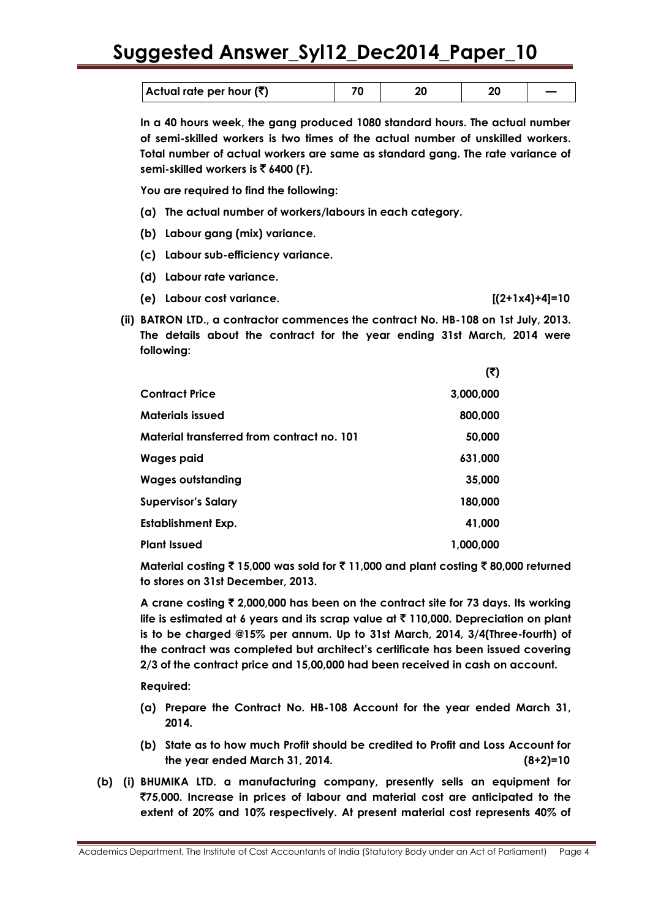| Actual rate per hour $(\bar{\bar{\mathbf{x}}})$ |  |  |
|-------------------------------------------------|--|--|

**In a 40 hours week, the gang produced 1080 standard hours. The actual number of semi-skilled workers is two times of the actual number of unskilled workers. Total number of actual workers are same as standard gang. The rate variance of semi-skilled workers is** ` **6400 (F).**

**You are required to find the following:**

- **(a) The actual number of workers/labours in each category.**
- **(b) Labour gang (mix) variance.**
- **(c) Labour sub-efficiency variance.**
- **(d) Labour rate variance.**
- **(e) Labour cost variance. [(2+1x4)+4]=10**
- **(ii) BATRON LTD., a contractor commences the contract No. HB-108 on 1st July, 2013. The details about the contract for the year ending 31st March, 2014 were following:**

 $\mathbf{r}$ 

|                                            | w         |
|--------------------------------------------|-----------|
| <b>Contract Price</b>                      | 3,000,000 |
| Materials issued                           | 800,000   |
| Material transferred from contract no. 101 | 50,000    |
| Wages paid                                 | 631,000   |
| <b>Wages outstanding</b>                   | 35,000    |
| Supervisor's Salary                        | 180,000   |
| Establishment Exp.                         | 41,000    |
| <b>Plant Issued</b>                        | 1,000,000 |

**Material costing** ` **15,000 was sold for** ` **11,000 and plant costing** ` **80,000 returned to stores on 31st December, 2013.**

**A crane costing** ` **2,000,000 has been on the contract site for 73 days. Its working life is estimated at 6 years and its scrap value at** ` **110,000. Depreciation on plant is to be charged @15% per annum. Up to 31st March, 2014, 3/4(Three-fourth) of the contract was completed but architect's certificate has been issued covering 2/3 of the contract price and 15,00,000 had been received in cash on account.**

**Required:**

- **(a) Prepare the Contract No. HB-108 Account for the year ended March 31, 2014.**
- **(b) State as to how much Profit should be credited to Profit and Loss Account for the year ended March 31, 2014. (8+2)=10**
- **(b) (i) BHUMIKA LTD. a manufacturing company, presently sells an equipment for**  `**75,000. Increase in prices of labour and material cost are anticipated to the extent of 20% and 10% respectively. At present material cost represents 40% of**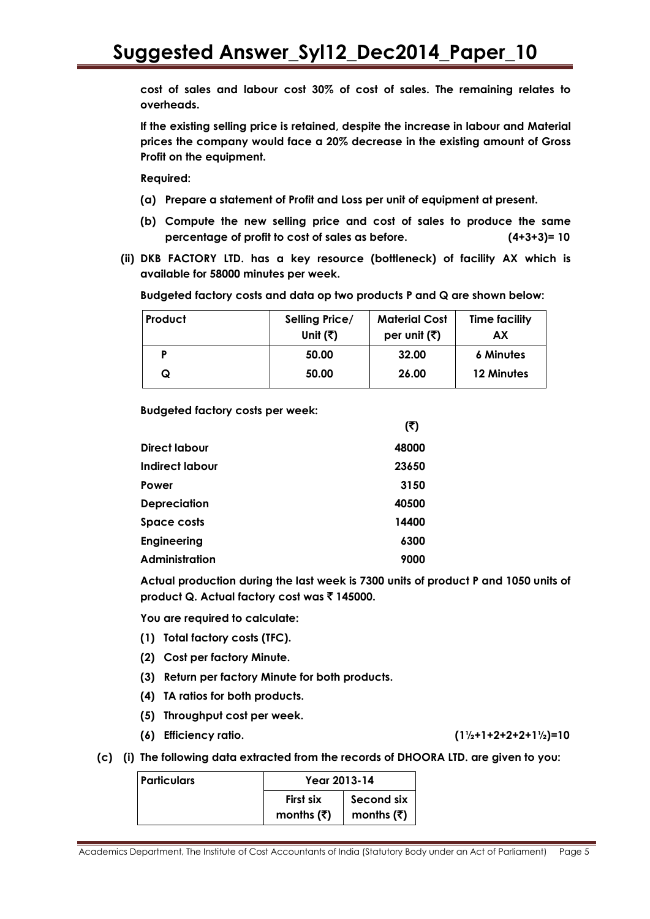**cost of sales and labour cost 30% of cost of sales. The remaining relates to overheads.**

**If the existing selling price is retained, despite the increase in labour and Material prices the company would face a 20% decrease in the existing amount of Gross Profit on the equipment.**

**Required:**

- **(a) Prepare a statement of Profit and Loss per unit of equipment at present.**
- **(b) Compute the new selling price and cost of sales to produce the same percentage of profit to cost of sales as before. (4+3+3)= 10**
- **(ii) DKB FACTORY LTD. has a key resource (bottleneck) of facility AX which is available for 58000 minutes per week.**

**Budgeted factory costs and data op two products P and Q are shown below:**

| Product | Selling Price/<br>Unit $(\overline{\tau})$ | <b>Material Cost</b><br>per unit $(\vec{\tau})$ | <b>Time facility</b><br>АX |
|---------|--------------------------------------------|-------------------------------------------------|----------------------------|
|         | 50.00                                      | 32.00                                           | <b>6 Minutes</b>           |
| Q       | 50.00                                      | 26.00                                           | 12 Minutes                 |

**Budgeted factory costs per week:**

|                     | (₹)   |
|---------------------|-------|
| Direct labour       | 48000 |
| Indirect labour     | 23650 |
| Power               | 3150  |
| <b>Depreciation</b> | 40500 |
| <b>Space costs</b>  | 14400 |
| <b>Engineering</b>  | 6300  |
| Administration      | 9000  |

**Actual production during the last week is 7300 units of product P and 1050 units of product Q. Actual factory cost was ₹ 145000.** 

**You are required to calculate:**

- **(1) Total factory costs (TFC).**
- **(2) Cost per factory Minute.**
- **(3) Return per factory Minute for both products.**
- **(4) TA ratios for both products.**
- **(5) Throughput cost per week.**
- **(6) Efficiency ratio. (1½+1+2+2+2+1½)=10**
- **(c) (i) The following data extracted from the records of DHOORA LTD. are given to you:**

| <u>  Particulars</u> | Year 2013-14                                   |                          |  |
|----------------------|------------------------------------------------|--------------------------|--|
|                      | First six<br>months $(\bar{\bar{\mathbf{x}}})$ | Second six<br>months (₹) |  |
|                      |                                                |                          |  |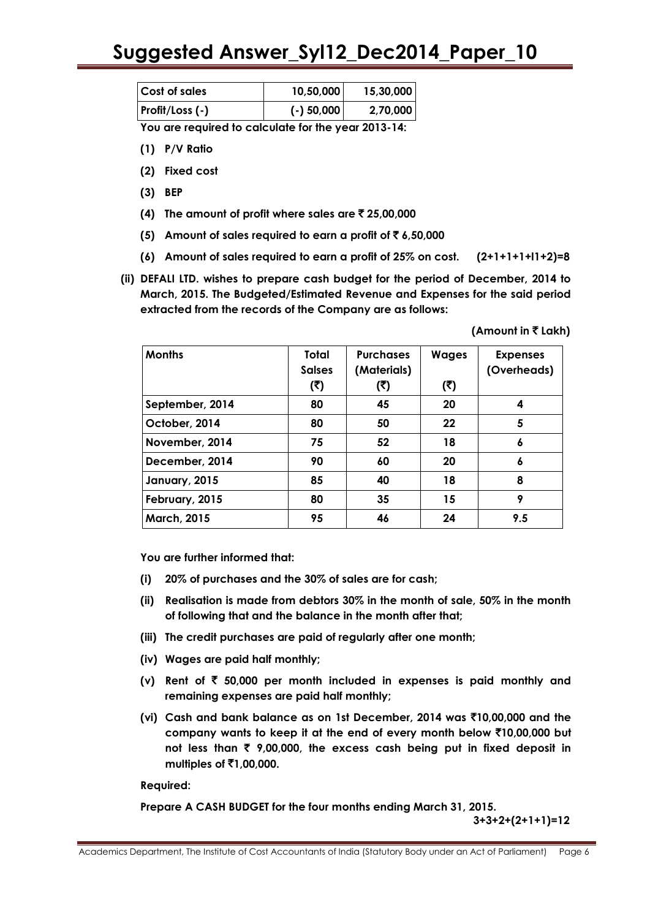| <b>Cost of sales</b> | 10,50,000    | 15,30,000 |
|----------------------|--------------|-----------|
| Profit/Loss (-)      | $(-)$ 50,000 | 2,70,000  |

**You are required to calculate for the year 2013-14:**

- **(1) P/V Ratio**
- **(2) Fixed cost**
- **(3) BEP**
- **(4) The amount of profit where sales are** ` **25,00,000**
- **(5)** Amount of sales required to earn a profit of  $\bar{\tau}$  6,50,000
- **(6) Amount of sales required to earn a profit of 25% on cost. (2+1+1+1+l1+2)=8**
- **(ii) DEFALI LTD. wishes to prepare cash budget for the period of December, 2014 to March, 2015. The Budgeted/Estimated Revenue and Expenses for the said period extracted from the records of the Company are as follows:**

**(Amount in** ` **Lakh)**

| <b>Months</b>      | <b>Total</b>  | <b>Purchases</b> | <b>Wages</b> | <b>Expenses</b> |
|--------------------|---------------|------------------|--------------|-----------------|
|                    | <b>Salses</b> | (Materials)      |              | (Overheads)     |
|                    | (₹)           | (₹)              | (3)          |                 |
| September, 2014    | 80            | 45               | 20           | 4               |
| October, 2014      | 80            | 50               | 22           | 5               |
| November, 2014     | 75            | 52               | 18           | 6               |
| December, 2014     | 90            | 60               | 20           | 6               |
| January, 2015      | 85            | 40               | 18           | 8               |
| February, 2015     | 80            | 35               | 15           | 9               |
| <b>March, 2015</b> | 95            | 46               | 24           | 9.5             |

**You are further informed that:**

- **(i) 20% of purchases and the 30% of sales are for cash;**
- **(ii) Realisation is made from debtors 30% in the month of sale, 50% in the month of following that and the balance in the month after that;**
- **(iii) The credit purchases are paid of regularly after one month;**
- **(iv) Wages are paid half monthly;**
- **(v) Rent of** ` **50,000 per month included in expenses is paid monthly and remaining expenses are paid half monthly;**
- **(vi) Cash and bank balance as on 1st December, 2014 was** `**10,00,000 and the company wants to keep it at the end of every month below** `**10,00,000 but not less than** ` **9,00,000, the excess cash being put in fixed deposit in multiples of** `**1,00,000.**

**Required:**

**Prepare A CASH BUDGET for the four months ending March 31, 2015.**

**3+3+2+(2+1+1)=12**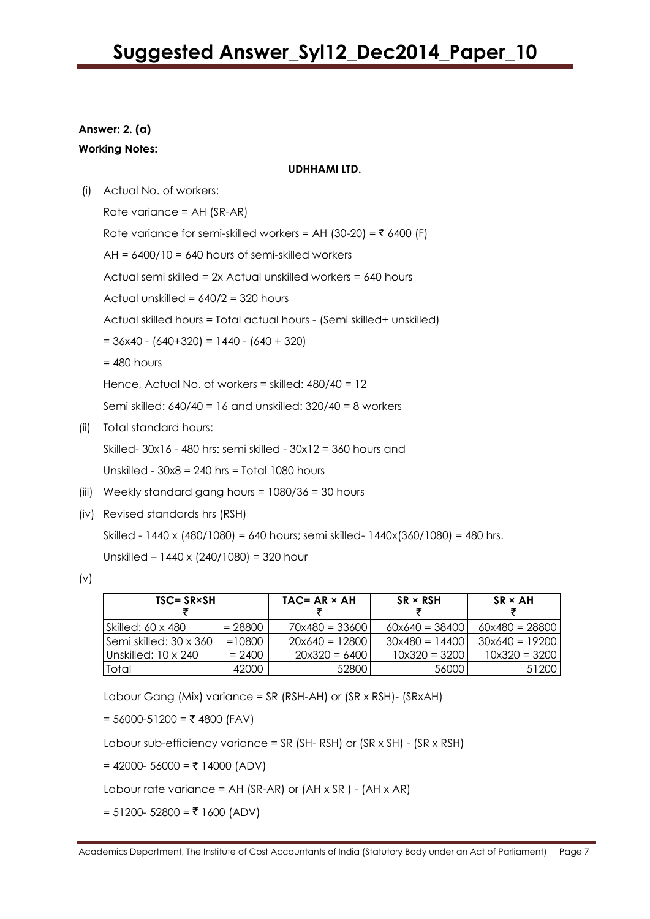### **Answer: 2. (a)**

**Working Notes:**

#### **UDHHAMl LTD.**

(i) Actual No. of workers:

Rate variance = AH (SR-AR) Rate variance for semi-skilled workers = AH (30-20) =  $\bar{z}$  6400 (F)  $AH = 6400/10 = 640$  hours of semi-skilled workers Actual semi skilled = 2x Actual unskilled workers = 640 hours Actual unskilled = 640/2 = 320 hours Actual skilled hours = Total actual hours - (Semi skilled+ unskilled)  $= 36x40 - (640+320) = 1440 - (640 + 320)$  $= 480$  hours Hence, Actual No. of workers = skilled: 480/40 = 12

Semi skilled: 640/40 = 16 and unskilled: 320/40 = 8 workers

(ii) Total standard hours:

Skilled- 30x16 - 480 hrs: semi skilled - 30x12 = 360 hours and

Unskilled - 30x8 = 240 hrs = Total 1080 hours

- (iii) Weekly standard gang hours = 1080/36 = 30 hours
- (iv) Revised standards hrs (RSH)

Skilled - 1440 x (480/1080) = 640 hours; semi skilled- 1440x(360/1080) = 480 hrs. Unskilled – 1440 x (240/1080) = 320 hour

| $TSC = SR \times SH$       |           | $TAC = AR \times AH$  | $SR \times RSH$  | $SR \times AH$   |
|----------------------------|-----------|-----------------------|------------------|------------------|
| Skilled: 60 x 480          | $= 28800$ | $70x480 = 33600$      | $60x640 = 38400$ | $60x480 = 28800$ |
| l Semi skilled: 30 x 360 l | $=10800$  | $20\times640 = 12800$ | $30x480 = 14400$ | $30x640 = 19200$ |
| l Unskilled: 10 x 240.     | $= 2400$  | $20x320 = 6400$       | $10x320 = 3200$  | $10x320 = 3200$  |
| Total                      | 42000     | 52800                 | 56000            | 51200            |

Labour Gang (Mix) variance = SR (RSH-AH) or (SR x RSH)- (SRxAH)

= 56000-51200 = ₹ 4800 (FAV)

Labour sub-efficiency variance =  $SR$  (SH-RSH) or (SR x SH) - (SR x RSH)

 $= 42000 - 56000 = ₹ 14000 (ADV)$ 

Labour rate variance =  $AH$  (SR-AR) or ( $AH \times SR$ ) - ( $AH \times AR$ )

 $= 51200 - 52800 = ₹ 1600 (ADV)$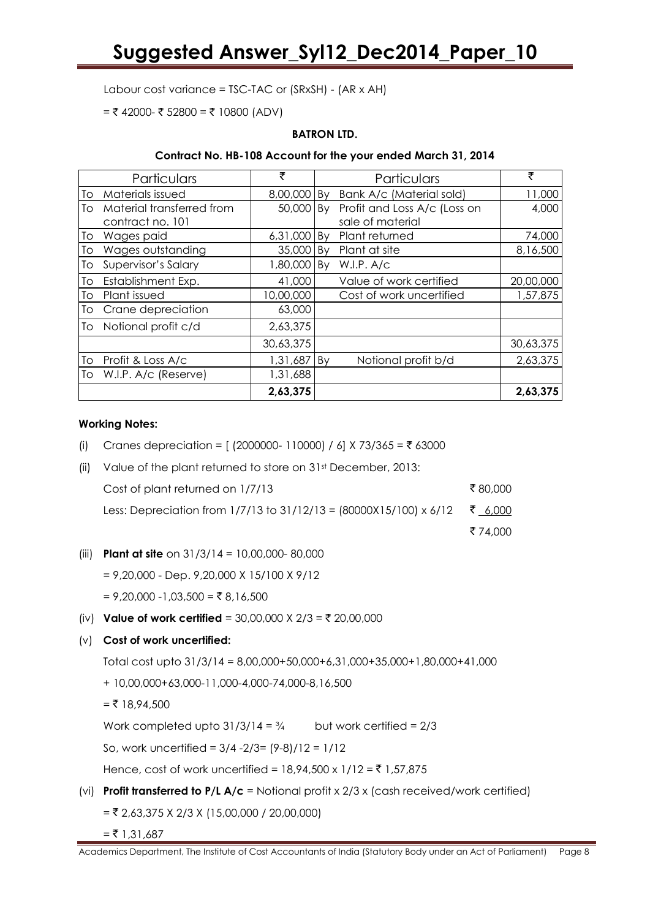Labour cost variance = TSC-TAC or (SRxSH) - (AR x AH)

= ₹ 42000- ₹ 52800 = ₹ 10800 (ADV)

#### **BATRON LTD.**

#### **Contract No. HB-108 Account for the your ended March 31, 2014**

|    | Particulars               | ₹         |    | Particulars                  | ₹         |
|----|---------------------------|-----------|----|------------------------------|-----------|
| To | Materials issued          | 8,00,000  | By | Bank A/c (Material sold)     | 11,000    |
| Τo | Material transferred from | 50,000    | By | Profit and Loss A/c (Loss on | 4,000     |
|    | contract no. 101          |           |    | sale of material             |           |
| Tо | Wages paid                | 6,31,000  | Bv | Plant returned               | 74,000    |
| To | Wages outstanding         | 35,000    | Bv | Plant at site                | 8,16,500  |
| To | Supervisor's Salary       | 1,80,000  | By | W.I.P. A/c                   |           |
| To | Establishment Exp.        | 41,000    |    | Value of work certified      | 20,00,000 |
| To | Plant issued              | 10,00,000 |    | Cost of work uncertified     | 1,57,875  |
| To | Crane depreciation        | 63,000    |    |                              |           |
| To | Notional profit c/d       | 2,63,375  |    |                              |           |
|    |                           | 30,63,375 |    |                              | 30,63,375 |
| To | Profit & Loss A/c         | 1,31,687  | Bv | Notional profit b/d          | 2,63,375  |
| To | W.I.P. A/c (Reserve)      | 1,31,688  |    |                              |           |
|    |                           | 2,63,375  |    |                              | 2,63,375  |

#### **Working Notes:**

- (i) Cranes depreciation =  $(2000000 110000) / 6$  X 73/365 = ₹ 63000
- (ii) Value of the plant returned to store on 31st December, 2013: Cost of plant returned on  $1/7/13$   $\qquad$  80,000 Less: Depreciation from 1/7/13 to 31/12/13 = (80000X15/100) x 6/12 ₹ 6,000

₹74,000

(iii) **Plant at site** on 31/3/14 = 10,00,000- 80,000

= 9,20,000 - Dep. 9,20,000 X 15/100 X 9/12

 $= 9,20,000 - 1,03,500 = ₹ 8,16,500$ 

(iv) **Value of work certified** = 30,00,000 X  $2/3 = ₹ 20,00,000$ 

### (v) **Cost of work uncertified:**

Total cost upto 31/3/14 = 8,00,000+50,000+6,31,000+35,000+1,80,000+41,000

+ 10,00,000+63,000-11,000-4,000-74,000-8,16,500

 $=$  ₹ 18,94,500

Work completed upto  $31/3/14 = 3/4$  but work certified = 2/3

So, work uncertified = 3/4 -2/3= (9-8)/12 = 1/12

Hence, cost of work uncertified =  $18,94,500 \times 1/12 = ₹ 1,57,875$ 

(vi) **Profit transferred to P/L A/c** = Notional profit x 2/3 x (cash received/work certified)

 $=$  ₹ 2,63,375 X 2/3 X (15,00,000 / 20,00,000)

 $=$  ₹ 1,31,687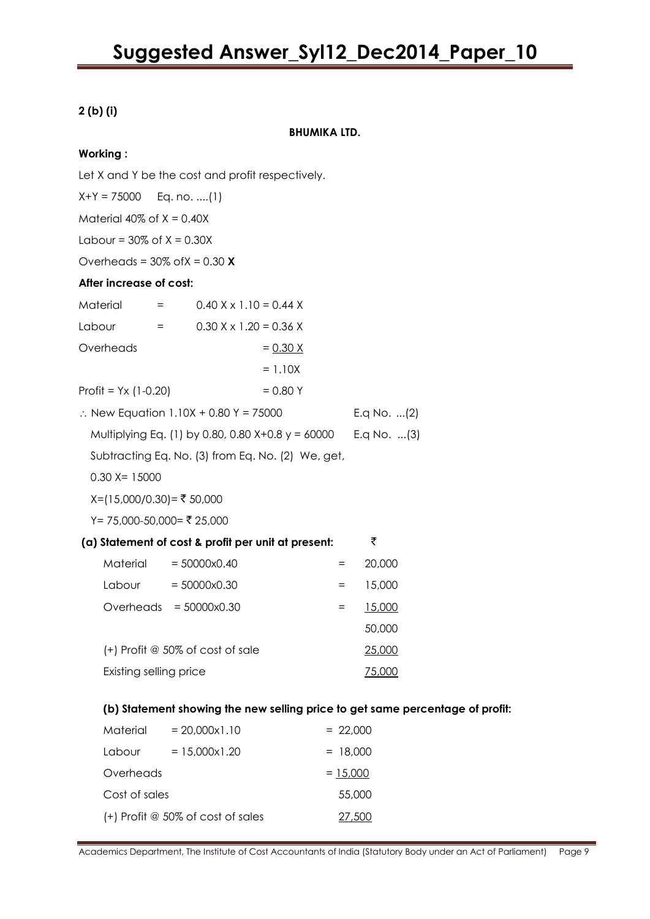### **2 (b) (i)**

**BHUMIKA LTD.**

### **Working :**

Let X and Y be the cost and profit respectively. X+Y = 75000 Eq. no. ....(1) Material  $40\%$  of  $X = 0.40X$ Labour =  $30\%$  of  $X = 0.30X$ Overheads = 30% ofX = 0.30 **X After increase of cost:**  $\text{Material} = 0.40 \times \text{X} 1.10 = 0.44 \times$ Labour =  $0.30 \times x 1.20 = 0.36 \times x$ Overheads  $= 0.30 X$  $= 1.10X$  $Profit = Yx (1-0.20) = 0.80 Y$  $\therefore$  New Equation 1.10X + 0.80 Y = 75000 E.q No. ...(2) Multiplying Eq. (1) by 0.80, 0.80 X+0.8 y = 60000 E.q No. ...(3) Subtracting Eq. No. (3) from Eq. No. (2) We, get,  $0.30$  X= 15000  $X=(15,000/0.30) = ₹ 50,000$  $Y = 75,000 - 50,000 = ₹ 25,000$ **(a) Statement of cost & profit per unit at present:** ` Material = 50000x0.40 = 20,000  $L$ abour = 50000x0.30 = 15.000 Overheads = 50000x0.30 = 15,000 50,000 (+) Profit @ 50% of cost of sale 25,000 Existing selling price 75,000 **(b) Statement showing the new selling price to get same percentage of profit:**  $Material = 20,000x1.10 = 22,000$ Labour =  $15,000x1.20$  =  $18,000$ 

 $Overheads$  = 15,000 Cost of sales 55,000

 $(+)$  Profit @ 50% of cost of sales 27,500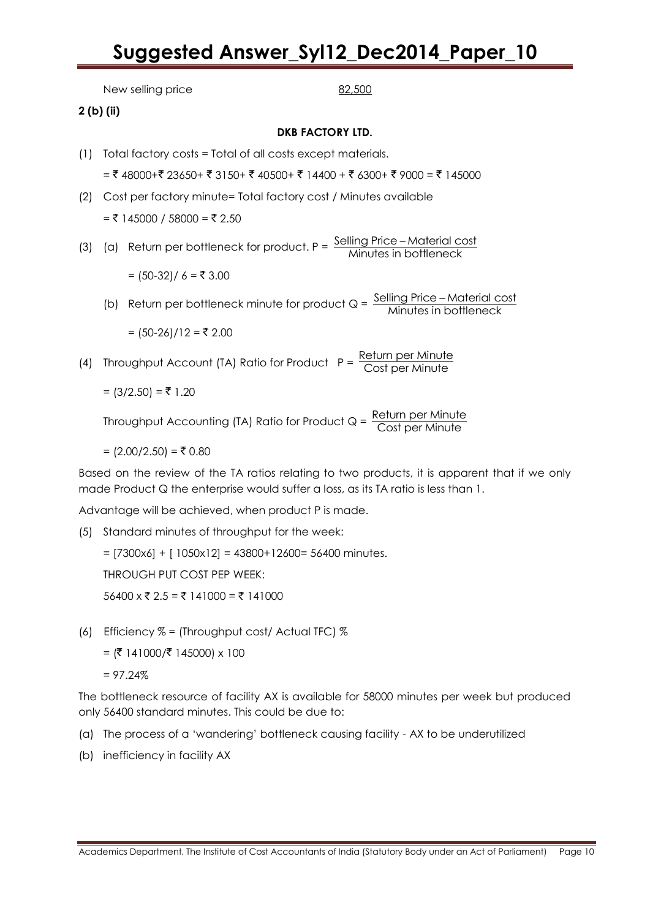New selling price 82,500 **2 (b) (ii) DKB FACTORY LTD.** (1) Total factory costs = Total of all costs except materials.  $=$  ₹ 48000+₹ 23650+ ₹ 3150+ ₹ 40500+ ₹ 14400 + ₹ 6300+ ₹ 9000 = ₹ 145000 (2) Cost per factory minute= Total factory cost / Minutes available  $=$  ₹ 145000 / 58000 = ₹ 2.50 (3) (a) Return per bottleneck for product.  $P = \frac{\text{Selling Price} - \text{Material cost}}{\text{Mixture size of the Hence.}}$ Minutes in bottleneck ÷, =  $(50-32) / 6 = ₹ 3.00$ (b) Return per bottleneck minute for product  $Q = \frac{\text{Selling Price} - \text{Material cost}}{\text{Minutes in bottleneck}}$ Minutes in bottleneck =  $(50-26)/12 = ₹ 2.00$ (4) Throughput Account (TA) Ratio for Product  $P = \frac{Return per Minute}{Cost per Minute}$ Cost per Minute  $= (3/2.50) = ₹ 1.20$ Throughput Accounting (TA) Ratio for Product  $Q = \frac{Return per Minute}{Cost post Minuto}$ Cost per Minute =  $(2.00/2.50) = ₹ 0.80$ 

Based on the review of the TA ratios relating to two products, it is apparent that if we only made Product Q the enterprise would suffer a loss, as its TA ratio is less than 1.

Advantage will be achieved, when product P is made.

(5) Standard minutes of throughput for the week:

 $=$  [7300x6] + [ 1050x12] = 43800+12600= 56400 minutes. THROUGH PUT COST PEP WEEK:  $56400 \times \overline{5}$  2.5 = ₹ 141000 = ₹ 141000

(6) Efficiency % = (Throughput cost/ Actual TFC) %

 $=$  (₹ 141000/₹ 145000) x 100

 $= 97.24%$ 

The bottleneck resource of facility AX is available for 58000 minutes per week but produced only 56400 standard minutes. This could be due to:

- (a) The process of a "wandering" bottleneck causing facility AX to be underutilized
- (b) inefficiency in facility AX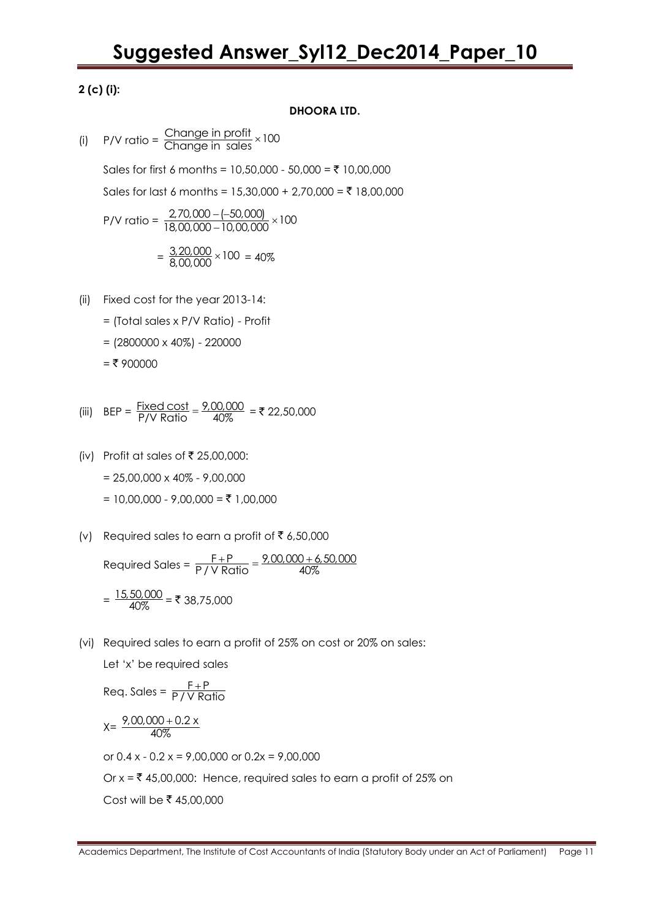### **2 (c) (i):**

### **DHOORA LTD.**

(i)  $P/V$  ratio =  $\frac{Change \text{ in profit}}{Change \text{ in sales}} \times 100$ 

Sales for first 6 months = 10,50,000 - 50,000 = ₹ 10,00,000 Sales for last 6 months = 15,30,000 + 2,70,000 = ₹ 18,00,000

$$
P/V \text{ ratio} = \frac{2,70,000 - (-50,000)}{18,00,000 - 10,00,000} \times 100
$$

$$
= \frac{3,20,000}{8,00,000} \times 100 = 40\%
$$

- (ii) Fixed cost for the year 2013-14:
	- = (Total sales x P/V Ratio) Profit
	- $= (2800000 \times 40\%) 220000$
	- $=$  ₹ 900000

(iii) 
$$
BEP = \frac{Fixed \cos t}{P/V \text{ Ratio}} = \frac{9,00,000}{40\%} = ₹ 22,50,000
$$

(iv) Profit at sales of  $\overline{\xi}$  25,00,000:

 $= 25,00,000 \times 40\% - 9,00,000$ 

 $= 10,00,000 - 9,00,000 =$ ₹ 1,00,000

(v) Required sales to earn a profit of  $\bar{\bar{\xi}}$  6,50,000

Required Sales = F P 9,00,000 6,50,000  $\frac{F+P}{P \mid V \text{ Ratio}} = \frac{9,00,000+6}{40\%}$ 

$$
= \frac{15,50,000}{40\%} = ₹ 38,75,000
$$

(vi) Required sales to earn a profit of 25% on cost or 20% on sales:

Let "x" be required sales

Req. Sales =  $\frac{F+P}{P+V+P}$ P / V Ratio  $\pm$  $X = \frac{9,00,000 + 0.2 \times 10^{17}}{400}$ 40%  $^{+}$ 

or  $0.4 x - 0.2 x = 9,00,000$  or  $0.2x = 9,00,000$ Or  $x = \overline{x}$  45,00,000: Hence, required sales to earn a profit of 25% on Cost will be ₹ 45,00,000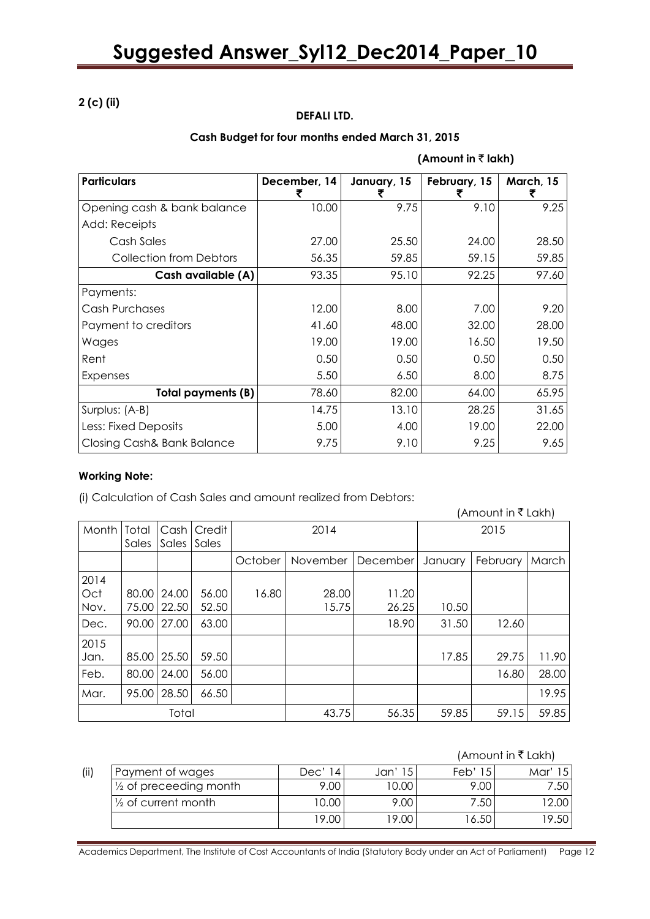### **2 (c) (ii)**

### **DEFALI LTD.**

### **Cash Budget for four months ended March 31, 2015**

| (Amount in $\bar{z}$ lakh) |  |  |
|----------------------------|--|--|
|----------------------------|--|--|

| <b>Particulars</b>             | December, 14<br>₹ | January, 15 | February, 15 | March, 15 |
|--------------------------------|-------------------|-------------|--------------|-----------|
| Opening cash & bank balance    | 10.00             | 9.75        | 9.10         | 9.25      |
| Add: Receipts                  |                   |             |              |           |
| Cash Sales                     | 27.00             | 25.50       | 24.00        | 28.50     |
| <b>Collection from Debtors</b> | 56.35             | 59.85       | 59.15        | 59.85     |
| Cash available (A)             | 93.35             | 95.10       | 92.25        | 97.60     |
| Payments:                      |                   |             |              |           |
| Cash Purchases                 | 12.00             | 8.00        | 7.00         | 9.20      |
| Payment to creditors           | 41.60             | 48.00       | 32.00        | 28.00     |
| Wages                          | 19.00             | 19.00       | 16.50        | 19.50     |
| Rent                           | 0.50              | 0.50        | 0.50         | 0.50      |
| <b>Expenses</b>                | 5.50              | 6.50        | 8.00         | 8.75      |
| <b>Total payments (B)</b>      | 78.60             | 82.00       | 64.00        | 65.95     |
| Surplus: (A-B)                 | 14.75             | 13.10       | 28.25        | 31.65     |
| Less: Fixed Deposits           | 5.00              | 4.00        | 19.00        | 22.00     |
| Closing Cash& Bank Balance     | 9.75              | 9.10        | 9.25         | 9.65      |

#### **Working Note:**

(i) Calculation of Cash Sales and amount realized from Debtors:

|                     |                |                |                 |         |                |                |         | (Amount in ₹ Lakh) |       |
|---------------------|----------------|----------------|-----------------|---------|----------------|----------------|---------|--------------------|-------|
| Month               | Total<br>Sales | Cash<br>Sales  | Credit<br>Sales | 2014    |                |                | 2015    |                    |       |
|                     |                |                |                 | October | November       | December       | January | February           | March |
| 2014<br>Oct<br>Nov. | 80.00<br>75.00 | 24.00<br>22.50 | 56.00<br>52.50  | 16.80   | 28.00<br>15.75 | 11.20<br>26.25 | 10.50   |                    |       |
| Dec.                | 90.00          | 27.00          | 63.00           |         |                | 18.90          | 31.50   | 12.60              |       |
| 2015<br>Jan.        |                | 85.00 25.50    | 59.50           |         |                |                | 17.85   | 29.75              | 11.90 |
| Feb.                |                | 80.00   24.00  | 56.00           |         |                |                |         | 16.80              | 28.00 |
| Mar.                | 95.00          | 28.50          | 66.50           |         |                |                |         |                    | 19.95 |
| Total               |                |                |                 |         | 43.75          | 56.35          | 59.85   | 59.15              | 59.85 |

#### (Amount in  $\bar{\tau}$  Lakh)

| (ii) | Payment of wages               | Dec'<br>14 | Jan'  | Feb'<br>15 | Mar   |
|------|--------------------------------|------------|-------|------------|-------|
|      | 1/2 of preceeding month        | 9.00       | 10.00 | 9.00       | 7.50  |
|      | $\frac{1}{2}$ of current month | 10.00      | 9.00  | 7.50       | 12.00 |
|      |                                | 19.00      | 19.00 | 16.50      | 9.50  |
|      |                                |            |       |            |       |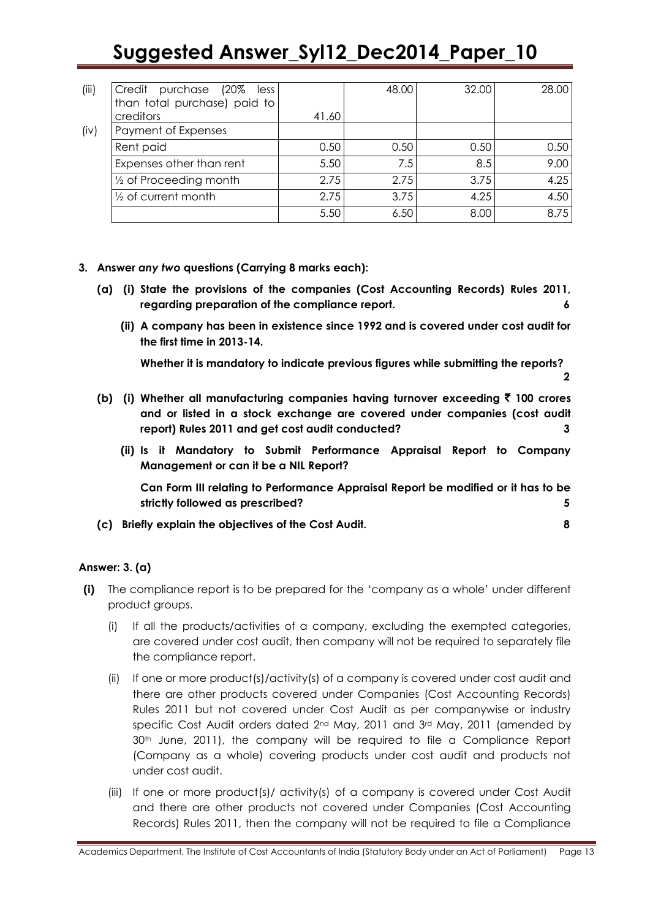| (iii) | Credit purchase (20%<br>less      |       | 48.00 | 32.00 | 28.00 |
|-------|-----------------------------------|-------|-------|-------|-------|
|       | than total purchase) paid to      |       |       |       |       |
|       | creditors                         | 41.60 |       |       |       |
| (iv)  | Payment of Expenses               |       |       |       |       |
|       | Rent paid                         | 0.50  | 0.50  | 0.50  | 0.50  |
|       | Expenses other than rent          | 5.50  | 7.5   | 8.5   | 9.00  |
|       | $\frac{1}{2}$ of Proceeding month | 2.75  | 2.75  | 3.75  | 4.25  |
|       | $\frac{1}{2}$ of current month    | 2.75  | 3.75  | 4.25  | 4.50  |
|       |                                   | 5.50  | 6.50  | 8.00  | 8.75  |

- **3. Answer** *any two* **questions (Carrying 8 marks each):**
	- **(a) (i) State the provisions of the companies (Cost Accounting Records) Rules 2011, regarding preparation of the compliance report. 6**
		- **(ii) A company has been in existence since 1992 and is covered under cost audit for the first time in 2013-14.**

**Whether it is mandatory to indicate previous figures while submitting the reports? 2**

- **(b) (i) Whether all manufacturing companies having turnover exceeding** ` **100 crores and or listed in a stock exchange are covered under companies (cost audit report) Rules 2011 and get cost audit conducted? 3**
	- **(ii) Is it Mandatory to Submit Performance Appraisal Report to Company Management or can it be a NIL Report?**

**Can Form III relating to Performance Appraisal Report be modified or it has to be strictly followed as prescribed? 5**

**(c) Briefly explain the objectives of the Cost Audit. 8**

### **Answer: 3. (a)**

- **(i)** The compliance report is to be prepared for the "company as a whole" under different product groups.
	- (i) If all the products/activities of a company, excluding the exempted categories, are covered under cost audit, then company will not be required to separately file the compliance report.
	- (ii) If one or more product(s)/activity(s) of a company is covered under cost audit and there are other products covered under Companies (Cost Accounting Records) Rules 2011 but not covered under Cost Audit as per companywise or industry specific Cost Audit orders dated 2<sup>nd</sup> May, 2011 and 3<sup>rd</sup> May, 2011 (amended by 30<sup>th</sup> June, 2011), the company will be required to file a Compliance Report (Company as a whole) covering products under cost audit and products not under cost audit.
	- (iii) If one or more product(s)/ activity(s) of a company is covered under Cost Audit and there are other products not covered under Companies (Cost Accounting Records) Rules 2011, then the company will not be required to file a Compliance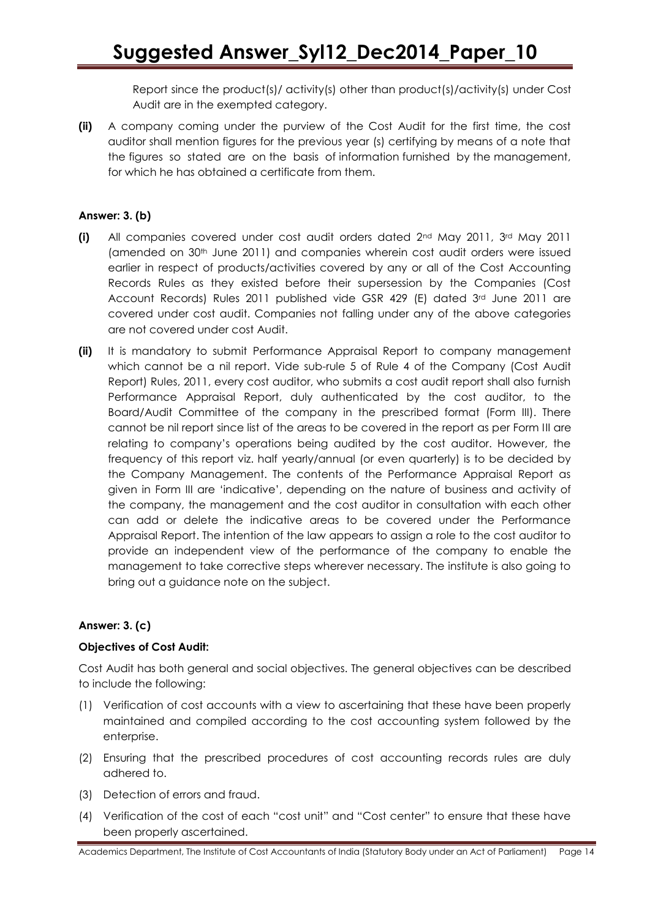Report since the product(s)/ activity(s) other than product(s)/activity(s) under Cost Audit are in the exempted category.

**(ii)** A company coming under the purview of the Cost Audit for the first time, the cost auditor shall mention figures for the previous year (s) certifying by means of a note that the figures so stated are on the basis of information furnished by the management, for which he has obtained a certificate from them.

### **Answer: 3. (b)**

- **(i)** All companies covered under cost audit orders dated 2nd May 2011, 3rd May 2011 (amended on 30th June 2011) and companies wherein cost audit orders were issued earlier in respect of products/activities covered by any or all of the Cost Accounting Records Rules as they existed before their supersession by the Companies (Cost Account Records) Rules 2011 published vide GSR 429 (E) dated 3rd June 2011 are covered under cost audit. Companies not falling under any of the above categories are not covered under cost Audit.
- **(ii)** It is mandatory to submit Performance Appraisal Report to company management which cannot be a nil report. Vide sub-rule 5 of Rule 4 of the Company (Cost Audit Report) Rules, 2011, every cost auditor, who submits a cost audit report shall also furnish Performance Appraisal Report, duly authenticated by the cost auditor, to the Board/Audit Committee of the company in the prescribed format (Form III). There cannot be nil report since list of the areas to be covered in the report as per Form III are relating to company"s operations being audited by the cost auditor. However, the frequency of this report viz. half yearly/annual (or even quarterly) is to be decided by the Company Management. The contents of the Performance Appraisal Report as given in Form III are "indicative", depending on the nature of business and activity of the company, the management and the cost auditor in consultation with each other can add or delete the indicative areas to be covered under the Performance Appraisal Report. The intention of the law appears to assign a role to the cost auditor to provide an independent view of the performance of the company to enable the management to take corrective steps wherever necessary. The institute is also going to bring out a guidance note on the subject.

### **Answer: 3. (c)**

### **Objectives of Cost Audit:**

Cost Audit has both general and social objectives. The general objectives can be described to include the following:

- (1) Verification of cost accounts with a view to ascertaining that these have been properly maintained and compiled according to the cost accounting system followed by the enterprise.
- (2) Ensuring that the prescribed procedures of cost accounting records rules are duly adhered to.
- (3) Detection of errors and fraud.
- (4) Verification of the cost of each "cost unit" and "Cost center" to ensure that these have been properly ascertained.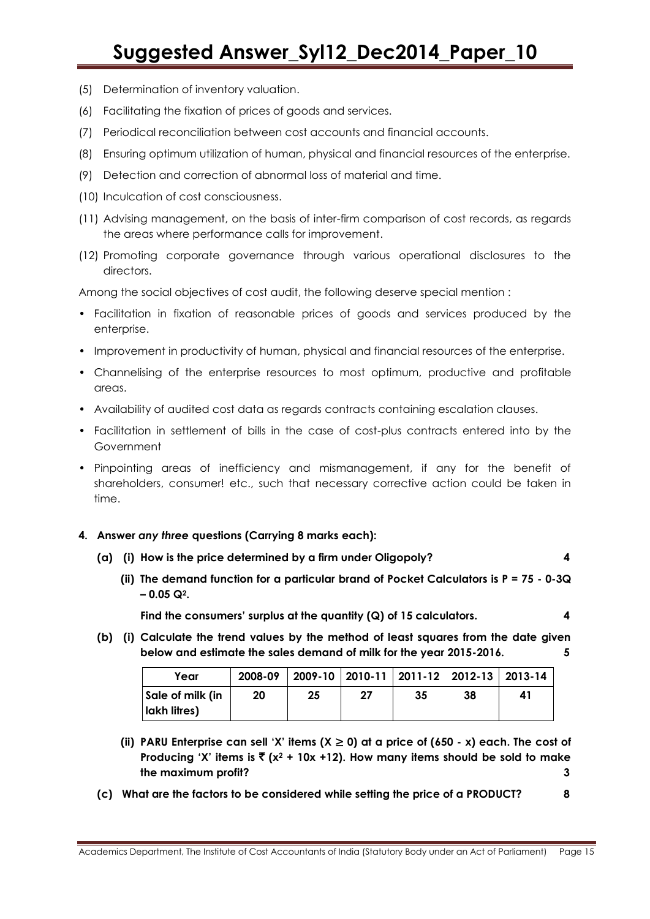- (5) Determination of inventory valuation.
- (6) Facilitating the fixation of prices of goods and services.
- (7) Periodical reconciliation between cost accounts and financial accounts.
- (8) Ensuring optimum utilization of human, physical and financial resources of the enterprise.
- (9) Detection and correction of abnormal loss of material and time.
- (10) Inculcation of cost consciousness.
- (11) Advising management, on the basis of inter-firm comparison of cost records, as regards the areas where performance calls for improvement.
- (12) Promoting corporate governance through various operational disclosures to the directors.

Among the social objectives of cost audit, the following deserve special mention :

- Facilitation in fixation of reasonable prices of goods and services produced by the enterprise.
- Improvement in productivity of human, physical and financial resources of the enterprise.
- Channelising of the enterprise resources to most optimum, productive and profitable areas.
- Availability of audited cost data as regards contracts containing escalation clauses.
- Facilitation in settlement of bills in the case of cost-plus contracts entered into by the Government
- Pinpointing areas of inefficiency and mismanagement, if any for the benefit of shareholders, consumer! etc., such that necessary corrective action could be taken in time.

#### **4. Answer** *any three* **questions (Carrying 8 marks each):**

- **(a) (i) How is the price determined by a firm under Oligopoly? 4**
	- **(ii) The demand function for a particular brand of Pocket Calculators is P = 75 - 0-3Q – 0.05 Q2.**

**Find the consumers' surplus at the quantity (Q) of 15 calculators. 4**

**(b) (i) Calculate the trend values by the method of least squares from the date given below and estimate the sales demand of milk for the year 2015-2016. 5**

| Year                  | 2008-09 |    |    |    | 2009-10   2010-11   2011-12 2012-13   2013-14 |    |
|-----------------------|---------|----|----|----|-----------------------------------------------|----|
| Sale of milk (in      | 20      | 25 | 27 | 35 | 38                                            | 41 |
| <b>I</b> lakh litres) |         |    |    |    |                                               |    |

- (ii) **PARU Enterprise can sell 'X' items (** $X \ge 0$ **) at a price of (650**  $x$ **) each. The cost of Producing 'X' items is**  $\bar{x}$  **(x<sup>2</sup> + 10x +12). How many items should be sold to make the maximum profit? 3**
- **(c) What are the factors to be considered while setting the price of a PRODUCT? 8**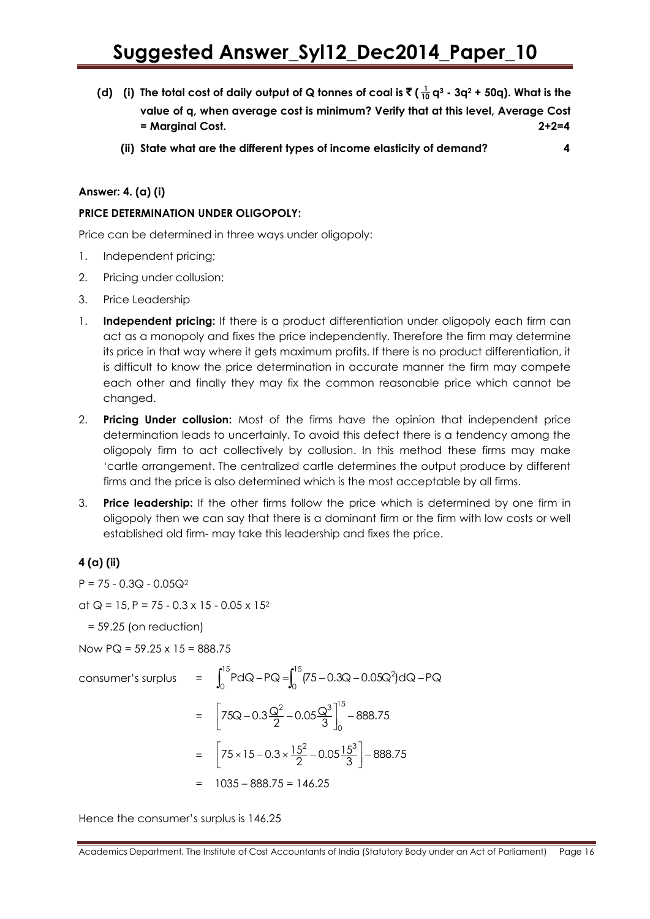- (d) (i) The total cost of daily output of Q tonnes of coal is  $\bar{\bar{\tau}}$  (  $\frac{1}{10}$  q<sup>3</sup> 3q<sup>2</sup> + 50q). What is the **value of q, when average cost is minimum? Verify that at this level, Average Cost = Marginal Cost. 2+2=4**
	- **(ii) State what are the different types of income elasticity of demand? 4**

### **Answer: 4. (a) (i)**

### **PRICE DETERMINATION UNDER OLIGOPOLY:**

Price can be determined in three ways under oligopoly:

- 1. Independent pricing;
- 2. Pricing under collusion;
- 3. Price Leadership
- 1. **Independent pricing:** If there is a product differentiation under oligopoly each firm can act as a monopoly and fixes the price independently. Therefore the firm may determine its price in that way where it gets maximum profits. If there is no product differentiation, it is difficult to know the price determination in accurate manner the firm may compete each other and finally they may fix the common reasonable price which cannot be changed.
- 2. **Pricing Under collusion:** Most of the firms have the opinion that independent price determination leads to uncertainly. To avoid this defect there is a tendency among the oligopoly firm to act collectively by collusion. In this method these firms may make "cartle arrangement. The centralized cartle determines the output produce by different firms and the price is also determined which is the most acceptable by all firms.
- 3. **Price leadership:** If the other firms follow the price which is determined by one firm in oligopoly then we can say that there is a dominant firm or the firm with low costs or well established old firm- may take this leadership and fixes the price.

### **4 (a) (ii)**

 $P = 75 - 0.3Q - 0.05Q^2$ 

at  $Q = 15$ , P = 75 - 0.3 x 15 - 0.05 x 15<sup>2</sup>

= 59.25 (on reduction)

Now  $PQ = 59.25 \times 15 = 888.75$ 

Now PQ = 59.25 x 15 = 888.75  
\nconsumer's surplus = 
$$
\int_0^{15} P dQ - PQ = \int_0^{15} (75 - 0.3Q - 0.05Q^2) dQ - PQ
$$
\n
$$
= \left[ 75Q - 0.3 \frac{Q^2}{2} - 0.05 \frac{Q^3}{3} \right]_0^{15} - 888.75
$$
\n
$$
= \left[ 75 \times 15 - 0.3 \times \frac{15^2}{2} - 0.05 \frac{15^3}{3} \right] - 888.75
$$
\n
$$
= 1035 - 888.75 = 146.25
$$

Hence the consumer"s surplus is 146.25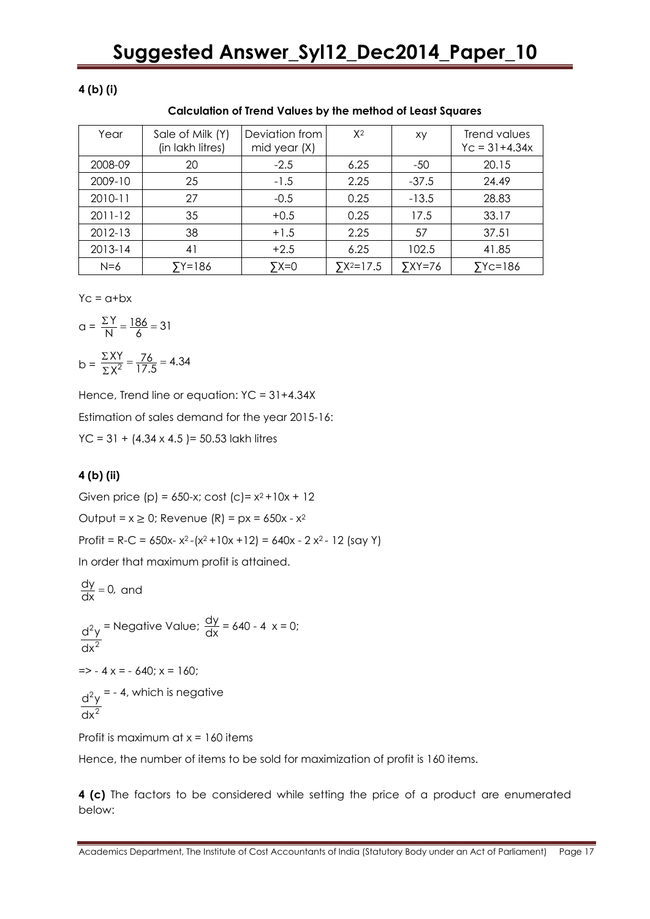### **4 (b) (i)**

| Year        | Sale of Milk (Y)<br>(in lakh litres) | Deviation from<br>mid year (X) | $X^2$               | xy                   | Trend values<br>$YC = 31 + 4.34x$ |
|-------------|--------------------------------------|--------------------------------|---------------------|----------------------|-----------------------------------|
| 2008-09     | 20                                   | $-2.5$                         | 6.25                | -50                  | 20.15                             |
| 2009-10     | 25                                   | $-1.5$                         | 2.25                | $-37.5$              | 24.49                             |
| 2010-11     | 27                                   | $-0.5$                         | 0.25                | $-13.5$              | 28.83                             |
| $2011 - 12$ | 35                                   | $+0.5$                         | 0.25                | 17.5                 | 33.17                             |
| 2012-13     | 38                                   | $+1.5$                         | 2.25                | 57                   | 37.51                             |
| $2013 - 14$ | 41                                   | $+2.5$                         | 6.25                | 102.5                | 41.85                             |
| $N=6$       | 5Y=186                               | $5x=0$                         | $\Sigma X^2 = 17.5$ | $\overline{Y}$ XY=76 | $YC=186$                          |

 $Yc = a + bx$ 

$$
a = \frac{\Sigma Y}{N} = \frac{186}{6} = 31
$$

$$
b = \frac{\Sigma XY}{\Sigma X^2} = \frac{76}{17.5} = 4.34
$$

Hence, Trend line or equation: YC = 31+4.34X Estimation of sales demand for the year 2015-16:  $YC = 31 + (4.34 \times 4.5) = 50.53$  lakh litres

#### **4 (b) (ii)**

Given price (p) =  $650-x$ ; cost (c) =  $x^2+10x+12$ Output = x ≥ 0; Revenue (R) *=* px *=* 650x - x<sup>2</sup> Profit = R-C =  $650x - x^2 - (x^2 + 10x + 12) = 640x - 2x^2 - 12$  (say Y) In order that maximum profit is attained.

$$
\frac{dy}{dx} = 0, \text{ and}
$$
\n
$$
\frac{d^2y}{dx^2} = \text{Negative Value; } \frac{dy}{dx} = 640 - 4 \times 0 = 0;
$$
\n
$$
= -4 \times 0.40 = 640; \times 0 = 160;
$$

$$
\frac{d^2y}{dx^2} = -4
$$
, which is negative

Profit is maximum at  $x = 160$  items

Hence, the number of items to be sold for maximization of profit is 160 items.

**4 (c)** The factors to be considered while setting the price of a product are enumerated below: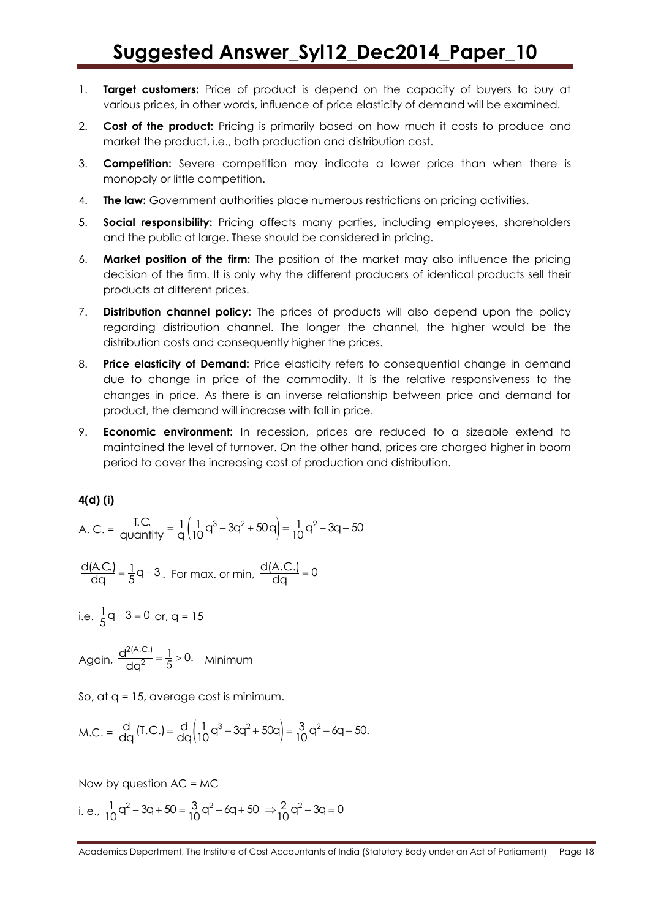- 1. **Target customers:** Price of product is depend on the capacity of buyers to buy at various prices, in other words, influence of price elasticity of demand will be examined.
- 2. **Cost of the product:** Pricing is primarily based on how much it costs to produce and market the product, i.e., both production and distribution cost.
- 3. **Competition:** Severe competition may indicate a lower price than when there is monopoly or little competition.
- 4. **The law:** Government authorities place numerous restrictions on pricing activities.
- 5. **Social responsibility:** Pricing affects many parties, including employees, shareholders and the public at large. These should be considered in pricing.
- 6. **Market position of the firm:** The position of the market may also influence the pricing decision of the firm. It is only why the different producers of identical products sell their products at different prices.
- 7. **Distribution channel policy:** The prices of products will also depend upon the policy regarding distribution channel. The longer the channel, the higher would be the distribution costs and consequently higher the prices.
- 8. **Price elasticity of Demand:** Price elasticity refers to consequential change in demand due to change in price of the commodity. It is the relative responsiveness to the changes in price. As there is an inverse relationship between price and demand for product, the demand will increase with fall in price.
- 9. **Economic environment:** In recession, prices are reduced to a sizeable extend to maintained the level of turnover. On the other hand, prices are charged higher in boom period to cover the increasing cost of production and distribution.

### **4(d) (i)**

**4(d) (i)**  
A. C. = 
$$
\frac{TC}{\text{quantity}} = \frac{1}{q} \left( \frac{1}{10} q^3 - 3q^2 + 50q \right) = \frac{1}{10} q^2 - 3q + 50
$$

$$
\frac{d(A.C.)}{dq} = \frac{1}{5}q - 3
$$
. For max. or min, 
$$
\frac{d(A.C.)}{dq} = 0
$$

i.e.  $\frac{1}{5}$ q - 3 = 0 or, q = 15

Again,  $\frac{d^{2(A.C.)}}{dx^2}$  $\frac{d^{2(A.C.)}}{dq^2} = \frac{1}{5} > 0$ . Minimum

So, at q = 15, average cost is minimum.

M.C. = 
$$
\frac{d}{dq}
$$
 (T.C.) =  $\frac{d}{dq} (\frac{1}{10}q^3 - 3q^2 + 50q) = \frac{3}{10}q^2 - 6q + 50$ .

Now by question  $AC = MC$ 

Now by question AC = MC  
i. e., 
$$
\frac{1}{10}q^2 - 3q + 50 = \frac{3}{10}q^2 - 6q + 50 \Rightarrow \frac{2}{10}q^2 - 3q = 0
$$

Academics Department, The Institute of Cost Accountants of India (Statutory Body under an Act of Parliament) Page 18